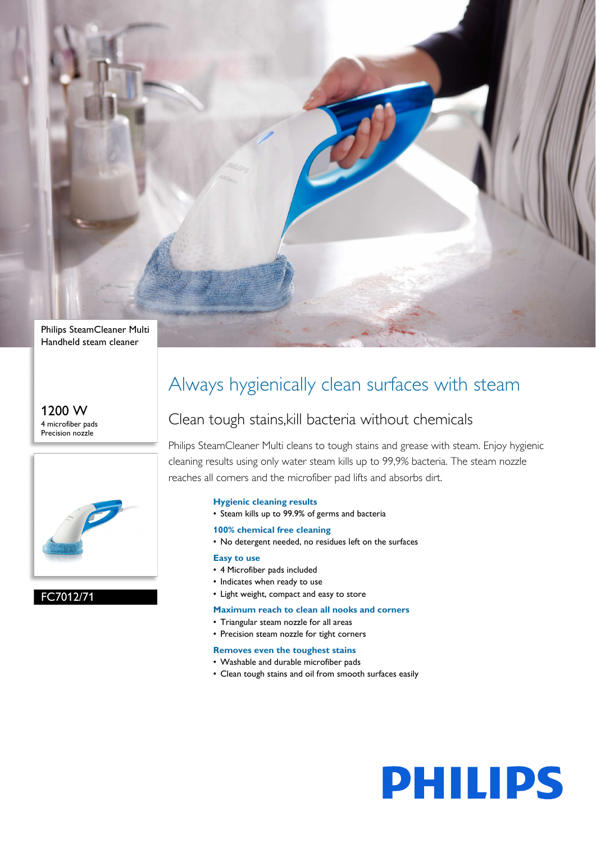

1200 W 4 microfiber pads Precision nozzle



#### FC7012/71

## Always hygienically clean surfaces with steam

## Clean tough stains,kill bacteria without chemicals

Philips SteamCleaner Multi cleans to tough stains and grease with steam. Enjoy hygienic cleaning results using only water steam kills up to 99,9% bacteria. The steam nozzle reaches all corners and the microfiber pad lifts and absorbs dirt.

#### **Hygienic cleaning results**

- Steam kills up to 99.9% of germs and bacteria
- **100% chemical free cleaning**
- No detergent needed, no residues left on the surfaces

#### **Easy to use**

- 4 Microfiber pads included
- Indicates when ready to use
- Light weight, compact and easy to store

#### **Maximum reach to clean all nooks and corners**

- Triangular steam nozzle for all areas
- Precision steam nozzle for tight corners

#### **Removes even the toughest stains**

- Washable and durable microfiber pads
- Clean tough stains and oil from smooth surfaces easily

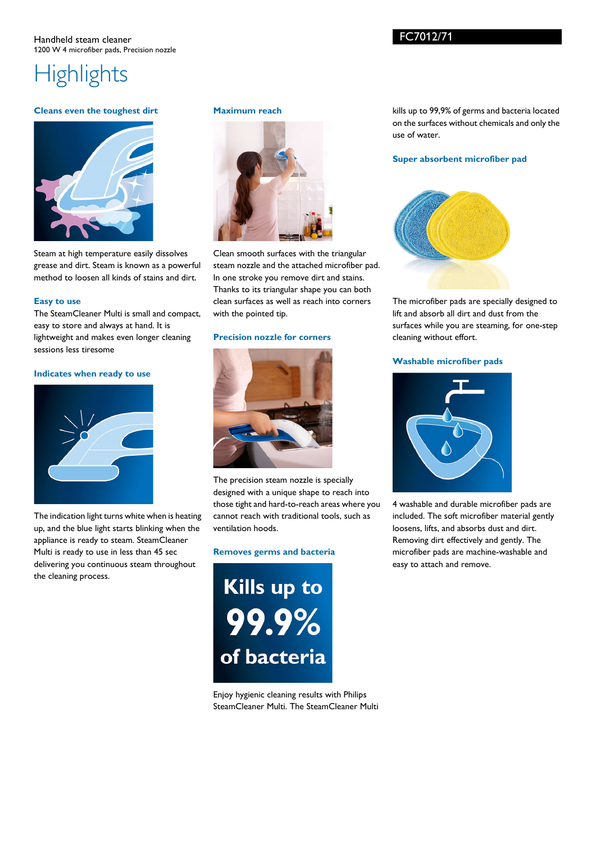## FC7012/71

# **Highlights**

#### **Cleans even the toughest dirt**



Steam at high temperature easily dissolves grease and dirt. Steam is known as a powerful method to loosen all kinds of stains and dirt.

#### **Easy to use**

The SteamCleaner Multi is small and compact, easy to store and always at hand. It is lightweight and makes even longer cleaning sessions less tiresome

#### **Indicates when ready to use**



The indication light turns white when is heating up, and the blue light starts blinking when the appliance is ready to steam. SteamCleaner Multi is ready to use in less than 45 sec delivering you continuous steam throughout the cleaning process.

#### **Maximum reach**



Clean smooth surfaces with the triangular steam nozzle and the attached microfiber pad. In one stroke you remove dirt and stains. Thanks to its triangular shape you can both clean surfaces as well as reach into corners with the pointed tip.

#### **Precision nozzle for corners**



The precision steam nozzle is specially designed with a unique shape to reach into those tight and hard-to-reach areas where you cannot reach with traditional tools, such as ventilation hoods.

#### **Removes germs and bacteria**

Kills up to 99.9% of bacteria

Enjoy hygienic cleaning results with Philips SteamCleaner Multi. The SteamCleaner Multi kills up to 99,9% of germs and bacteria located on the surfaces without chemicals and only the use of water.

#### **Super absorbent microfiber pad**



The microfiber pads are specially designed to lift and absorb all dirt and dust from the surfaces while you are steaming, for one-step cleaning without effort.

#### **Washable microfiber pads**



4 washable and durable microfiber pads are included. The soft microfiber material gently loosens, lifts, and absorbs dust and dirt. Removing dirt effectively and gently. The microfiber pads are machine-washable and easy to attach and remove.